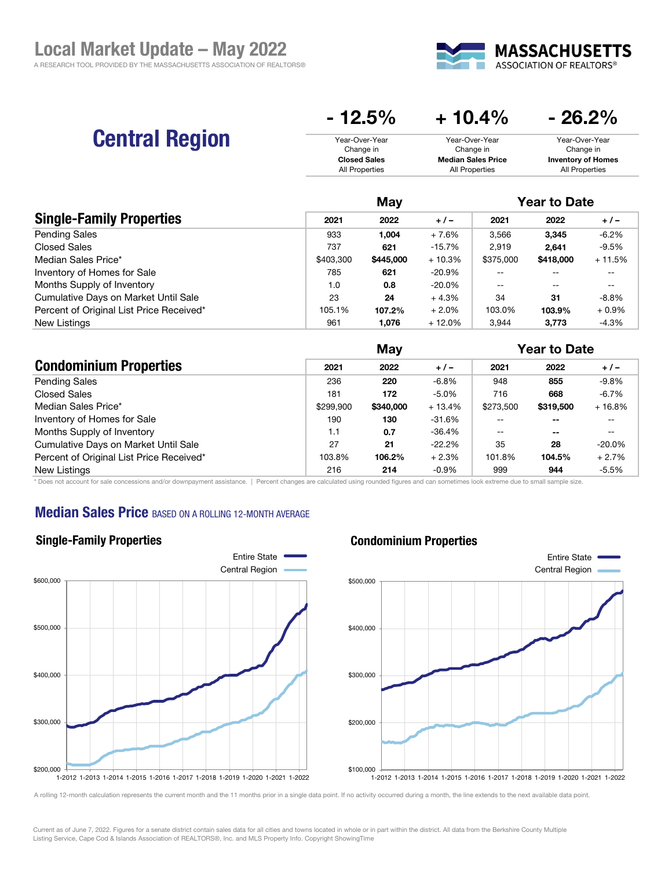

# Central Region

| $-12.5%$            | $+10.4\%$                 | $-26.2%$                  |
|---------------------|---------------------------|---------------------------|
| Year-Over-Year      | Year-Over-Year            | Year-Over-Year            |
| Change in           | Change in                 | Change in                 |
| <b>Closed Sales</b> | <b>Median Sales Price</b> | <b>Inventory of Homes</b> |
| All Properties      | All Properties            | All Properties            |

|                                          | May       |           |           | <b>Year to Date</b> |           |          |
|------------------------------------------|-----------|-----------|-----------|---------------------|-----------|----------|
| <b>Single-Family Properties</b>          | 2021      | 2022      | $+/-$     | 2021                | 2022      | $+/-$    |
| <b>Pending Sales</b>                     | 933       | 1.004     | $+7.6%$   | 3,566               | 3.345     | $-6.2%$  |
| <b>Closed Sales</b>                      | 737       | 621       | $-15.7%$  | 2.919               | 2.641     | $-9.5%$  |
| Median Sales Price*                      | \$403,300 | \$445,000 | $+10.3%$  | \$375,000           | \$418,000 | $+11.5%$ |
| Inventory of Homes for Sale              | 785       | 621       | $-20.9\%$ |                     |           |          |
| Months Supply of Inventory               | 1.0       | 0.8       | $-20.0\%$ | $- -$               |           |          |
| Cumulative Days on Market Until Sale     | 23        | 24        | $+4.3%$   | 34                  | 31        | $-8.8%$  |
| Percent of Original List Price Received* | 105.1%    | 107.2%    | $+2.0%$   | 103.0%              | 103.9%    | $+0.9\%$ |
| New Listings                             | 961       | 1.076     | $+12.0\%$ | 3,944               | 3.773     | $-4.3%$  |

|                                          |           | May       |           |           | <b>Year to Date</b> |           |  |
|------------------------------------------|-----------|-----------|-----------|-----------|---------------------|-----------|--|
| <b>Condominium Properties</b>            | 2021      | 2022      | $+/-$     | 2021      | 2022                | $+/-$     |  |
| <b>Pending Sales</b>                     | 236       | 220       | $-6.8%$   | 948       | 855                 | $-9.8%$   |  |
| <b>Closed Sales</b>                      | 181       | 172       | $-5.0%$   | 716       | 668                 | $-6.7%$   |  |
| Median Sales Price*                      | \$299,900 | \$340,000 | $+13.4%$  | \$273,500 | \$319,500           | $+16.8%$  |  |
| Inventory of Homes for Sale              | 190       | 130       | $-31.6%$  | $- -$     | --                  | $- -$     |  |
| Months Supply of Inventory               | 1.1       | 0.7       | -36.4%    | $- -$     | $- -$               | --        |  |
| Cumulative Days on Market Until Sale     | 27        | 21        | $-22.2\%$ | 35        | 28                  | $-20.0\%$ |  |
| Percent of Original List Price Received* | 103.8%    | 106.2%    | $+2.3%$   | 101.8%    | 104.5%              | $+2.7%$   |  |
| New Listings                             | 216       | 214       | $-0.9%$   | 999       | 944                 | $-5.5%$   |  |

\* Does not account for sale concessions and/or downpayment assistance. | Percent changes are calculated using rounded figures and can sometimes look extreme due to small sample size.

## **Median Sales Price BASED ON A ROLLING 12-MONTH AVERAGE**



#### Condominium Properties



A rolling 12-month calculation represents the current month and the 11 months prior in a single data point. If no activity occurred during a month, the line extends to the next available data point.

Current as of June 7, 2022. Figures for a senate district contain sales data for all cities and towns located in whole or in part within the district. All data from the Berkshire County Multiple Listing Service, Cape Cod & Islands Association of REALTORS®, Inc. and MLS Property Info. Copyright ShowingTime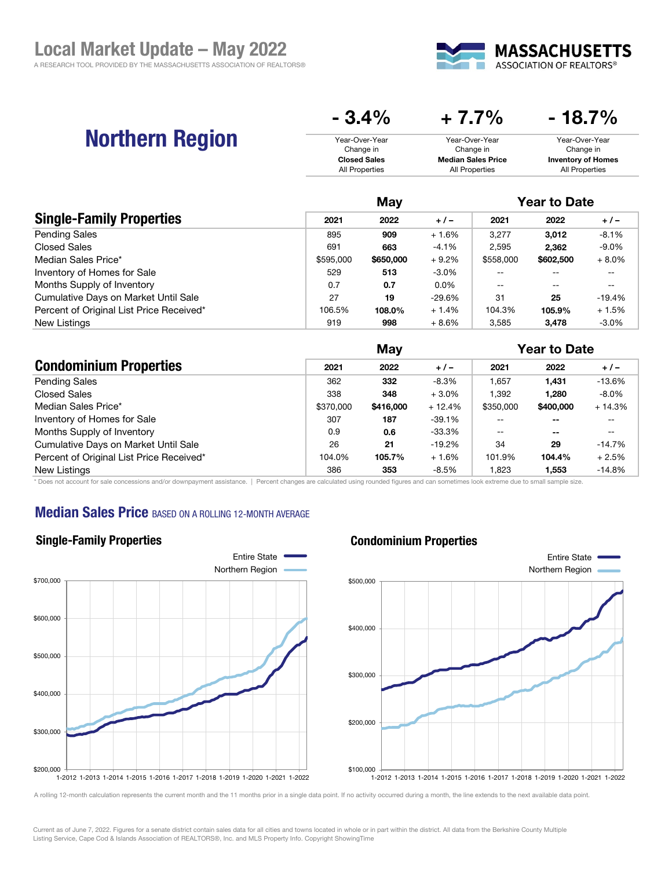

# Northern Region

| V.T /V              | T <i>I</i> i <i>i</i> /v  | 19.I 70                   |
|---------------------|---------------------------|---------------------------|
| Year-Over-Year      | Year-Over-Year            | Year-Over-Year            |
| Change in           | Change in                 | Change in                 |
| <b>Closed Sales</b> | <b>Median Sales Price</b> | <b>Inventory of Homes</b> |
| All Properties      | All Properties            | All Properties            |

 $-3.4\%$   $+7.7\%$   $-18.7\%$ 

|                                          | May       |           |          | <b>Year to Date</b> |           |          |
|------------------------------------------|-----------|-----------|----------|---------------------|-----------|----------|
| <b>Single-Family Properties</b>          | 2021      | 2022      | $+/-$    | 2021                | 2022      | $+/-$    |
| <b>Pending Sales</b>                     | 895       | 909       | $+1.6%$  | 3.277               | 3.012     | $-8.1%$  |
| Closed Sales                             | 691       | 663       | $-4.1%$  | 2.595               | 2.362     | $-9.0\%$ |
| Median Sales Price*                      | \$595,000 | \$650,000 | $+9.2%$  | \$558,000           | \$602,500 | $+8.0%$  |
| Inventory of Homes for Sale              | 529       | 513       | $-3.0%$  | --                  |           | --       |
| Months Supply of Inventory               | 0.7       | 0.7       | 0.0%     | $-$                 | $- -$     | --       |
| Cumulative Days on Market Until Sale     | 27        | 19        | $-29.6%$ | 31                  | 25        | -19.4%   |
| Percent of Original List Price Received* | 106.5%    | 108.0%    | $+1.4%$  | 104.3%              | 105.9%    | $+1.5%$  |
| New Listings                             | 919       | 998       | $+8.6%$  | 3.585               | 3.478     | $-3.0\%$ |

|                                          |           | May       |          |           | <b>Year to Date</b> |          |  |
|------------------------------------------|-----------|-----------|----------|-----------|---------------------|----------|--|
| <b>Condominium Properties</b>            | 2021      | 2022      | $+/-$    | 2021      | 2022                | $+/-$    |  |
| <b>Pending Sales</b>                     | 362       | 332       | $-8.3%$  | .657      | 1.431               | $-13.6%$ |  |
| Closed Sales                             | 338       | 348       | $+3.0%$  | .392      | 1,280               | $-8.0\%$ |  |
| Median Sales Price*                      | \$370,000 | \$416,000 | $+12.4%$ | \$350,000 | \$400,000           | $+14.3%$ |  |
| Inventory of Homes for Sale              | 307       | 187       | $-39.1%$ | --        | $- -$               | --       |  |
| Months Supply of Inventory               | 0.9       | 0.6       | -33.3%   | $-$       | $- -$               | --       |  |
| Cumulative Days on Market Until Sale     | 26        | 21        | $-19.2%$ | 34        | 29                  | -14.7%   |  |
| Percent of Original List Price Received* | 104.0%    | 105.7%    | $+1.6%$  | 101.9%    | 104.4%              | $+2.5%$  |  |
| New Listings                             | 386       | 353       | $-8.5%$  | .823      | 1,553               | $-14.8%$ |  |

\* Does not account for sale concessions and/or downpayment assistance. | Percent changes are calculated using rounded figures and can sometimes look extreme due to small sample size.

### **Median Sales Price BASED ON A ROLLING 12-MONTH AVERAGE**



### Condominium Properties



A rolling 12-month calculation represents the current month and the 11 months prior in a single data point. If no activity occurred during a month, the line extends to the next available data point.

Current as of June 7, 2022. Figures for a senate district contain sales data for all cities and towns located in whole or in part within the district. All data from the Berkshire County Multiple Listing Service, Cape Cod & Islands Association of REALTORS®, Inc. and MLS Property Info. Copyright ShowingTime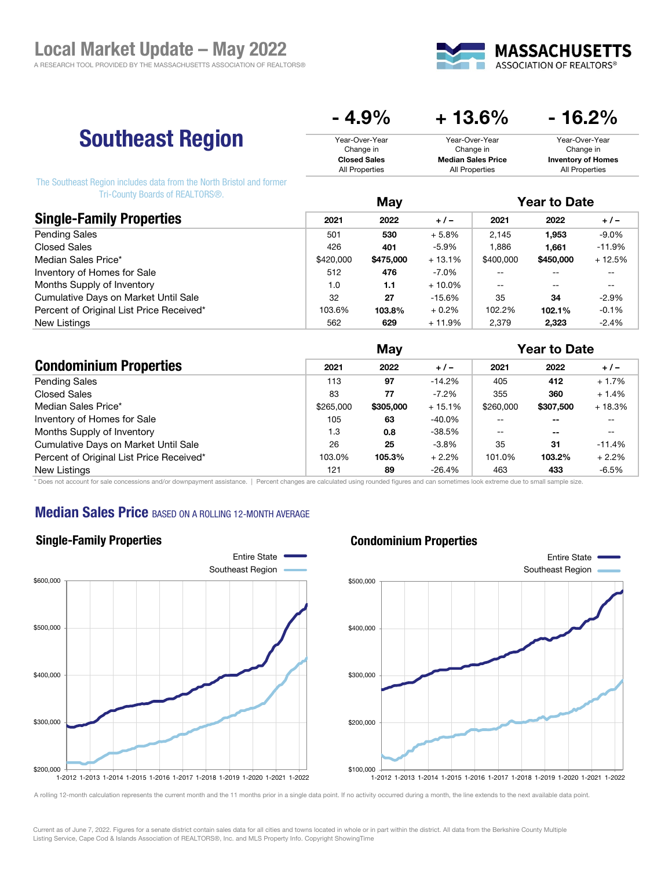

# Southeast Region

| $-4.9\%$            | $+13.6\%$                 | - 16.2%                   |  |  |
|---------------------|---------------------------|---------------------------|--|--|
| Year-Over-Year      | Year-Over-Year            | Year-Over-Year            |  |  |
| Change in           | Change in                 | Change in                 |  |  |
| <b>Closed Sales</b> | <b>Median Sales Price</b> | <b>Inventory of Homes</b> |  |  |
| All Properties      | All Properties            | All Properties            |  |  |

The Southeast Region includes data from the North Bristol and former Tri-County Boards of REALTORS®.

|                                          |           | May       |           |           | <b>Year to Date</b> |          |  |
|------------------------------------------|-----------|-----------|-----------|-----------|---------------------|----------|--|
| <b>Single-Family Properties</b>          | 2021      | 2022      | $+/-$     | 2021      | 2022                | $+/-$    |  |
| <b>Pending Sales</b>                     | 501       | 530       | $+5.8%$   | 2.145     | 1,953               | $-9.0\%$ |  |
| <b>Closed Sales</b>                      | 426       | 401       | $-5.9%$   | .886      | 1.661               | $-11.9%$ |  |
| Median Sales Price*                      | \$420,000 | \$475,000 | $+13.1%$  | \$400,000 | \$450,000           | $+12.5%$ |  |
| Inventory of Homes for Sale              | 512       | 476       | -7.0%     | --        | --                  | --       |  |
| Months Supply of Inventory               | 1.0       | 1.1       | $+10.0\%$ | $-$       | $- -$               | --       |  |
| Cumulative Days on Market Until Sale     | 32        | 27        | $-15.6%$  | 35        | 34                  | $-2.9%$  |  |
| Percent of Original List Price Received* | 103.6%    | 103.8%    | $+0.2%$   | 102.2%    | 102.1%              | $-0.1%$  |  |
| New Listings                             | 562       | 629       | + 11.9%   | 2.379     | 2.323               | $-2.4%$  |  |

|                                          | May       |           |          | <b>Year to Date</b>      |               |                                                     |
|------------------------------------------|-----------|-----------|----------|--------------------------|---------------|-----------------------------------------------------|
| <b>Condominium Properties</b>            | 2021      | 2022      | $+/-$    | 2021                     | 2022          | $+/-$                                               |
| <b>Pending Sales</b>                     | 113       | 97        | $-14.2%$ | 405                      | 412           | $+1.7%$                                             |
| Closed Sales                             | 83        | 77        | $-7.2\%$ | 355                      | 360           | $+1.4%$                                             |
| Median Sales Price*                      | \$265,000 | \$305,000 | $+15.1%$ | \$260,000                | \$307,500     | $+18.3%$                                            |
| Inventory of Homes for Sale              | 105       | 63        | -40.0%   |                          | $- -$         | --                                                  |
| Months Supply of Inventory               | 1.3       | 0.8       | -38.5%   | $\overline{\phantom{m}}$ | $\sim$ $\sim$ | $\hspace{0.05cm} -\hspace{0.05cm} -\hspace{0.05cm}$ |
| Cumulative Days on Market Until Sale     | 26        | 25        | $-3.8%$  | 35                       | 31            | $-11.4%$                                            |
| Percent of Original List Price Received* | 103.0%    | 105.3%    | $+2.2%$  | 101.0%                   | 103.2%        | $+2.2%$                                             |
| New Listings                             | 121       | 89        | $-26.4%$ | 463                      | 433           | $-6.5%$                                             |

\* Does not account for sale concessions and/or downpayment assistance. | Percent changes are calculated using rounded figures and can sometimes look extreme due to small sample size.

## **Median Sales Price BASED ON A ROLLING 12-MONTH AVERAGE**



#### Condominium Properties



A rolling 12-month calculation represents the current month and the 11 months prior in a single data point. If no activity occurred during a month, the line extends to the next available data point.

Current as of June 7, 2022. Figures for a senate district contain sales data for all cities and towns located in whole or in part within the district. All data from the Berkshire County Multiple Listing Service, Cape Cod & Islands Association of REALTORS®, Inc. and MLS Property Info. Copyright ShowingTime